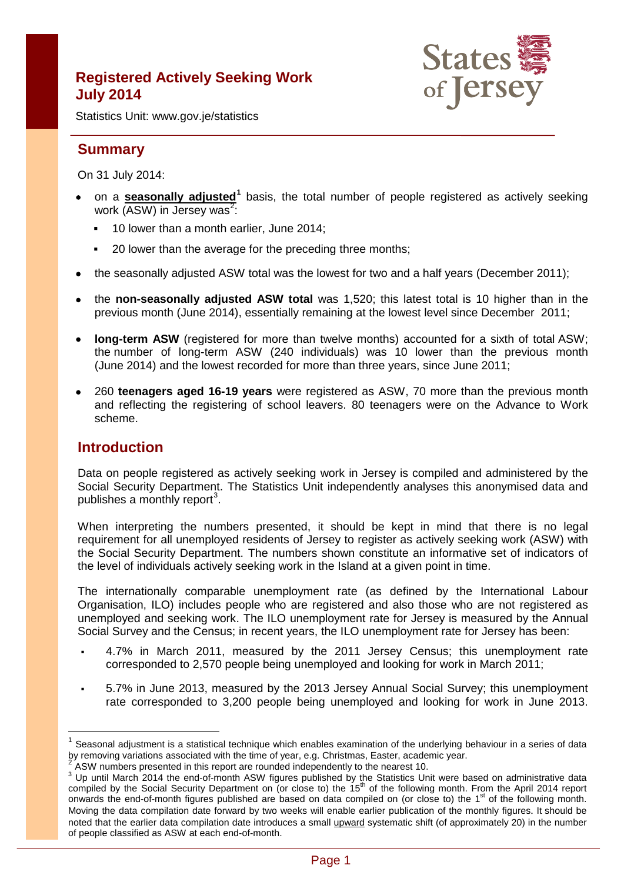# **Registered Actively Seeking Work July 2014**



Statistics Unit: www.gov.je/statistics

# **Summary**

On 31 July 2014:

- on a **seasonally adjusted[1](#page-0-0)** basis, the total number of people registered as actively seeking work (ASW) in Jersey was<sup>[2](#page-0-1)</sup>:
	- **10 lower than a month earlier, June 2014;**
	- **20 lower than the average for the preceding three months:**
- the seasonally adjusted ASW total was the lowest for two and a half years (December 2011);
- the **non-seasonally adjusted ASW total** was 1,520; this latest total is 10 higher than in the previous month (June 2014), essentially remaining at the lowest level since December 2011;
- long-term ASW (registered for more than twelve months) accounted for a sixth of total ASW; the number of long-term ASW (240 individuals) was 10 lower than the previous month (June 2014) and the lowest recorded for more than three years, since June 2011;
- 260 **teenagers aged 16-19 years** were registered as ASW, 70 more than the previous month and reflecting the registering of school leavers. 80 teenagers were on the Advance to Work scheme.

## **Introduction**

 $\overline{1}$ 

Data on people registered as actively seeking work in Jersey is compiled and administered by the Social Security Department. The Statistics Unit independently analyses this anonymised data and publishes a monthly report<sup>[3](#page-0-2)</sup>.

When interpreting the numbers presented, it should be kept in mind that there is no legal requirement for all unemployed residents of Jersey to register as actively seeking work (ASW) with the Social Security Department. The numbers shown constitute an informative set of indicators of the level of individuals actively seeking work in the Island at a given point in time.

The internationally comparable unemployment rate (as defined by the International Labour Organisation, ILO) includes people who are registered and also those who are not registered as unemployed and seeking work. The ILO unemployment rate for Jersey is measured by the Annual Social Survey and the Census; in recent years, the ILO unemployment rate for Jersey has been:

- 4.7% in March 2011, measured by the 2011 Jersey Census; this unemployment rate corresponded to 2,570 people being unemployed and looking for work in March 2011;
- 5.7% in June 2013, measured by the 2013 Jersey Annual Social Survey; this unemployment rate corresponded to 3,200 people being unemployed and looking for work in June 2013.

<span id="page-0-0"></span>Seasonal adjustment is a statistical technique which enables examination of the underlying behaviour in a series of data by removing variations associated with the time of year, e.g. Christmas, Easter, academic year.

<span id="page-0-2"></span><span id="page-0-1"></span><sup>&</sup>lt;sup>2</sup> ASW numbers presented in this report are rounded independently to the nearest 10.<br><sup>3</sup> Up until March 2014 the end-of-month ASW figures published by the Statistics Unit were based on administrative data compiled by the Social Security Department on (or close to) the 15<sup>th</sup> of the following month. From the April 2014 report onwards the end-of-month figures published are based on data compiled on (or close to) the 1<sup>st</sup> of the following month. Moving the data compilation date forward by two weeks will enable earlier publication of the monthly figures. It should be noted that the earlier data compilation date introduces a small upward systematic shift (of approximately 20) in the number of people classified as ASW at each end-of-month.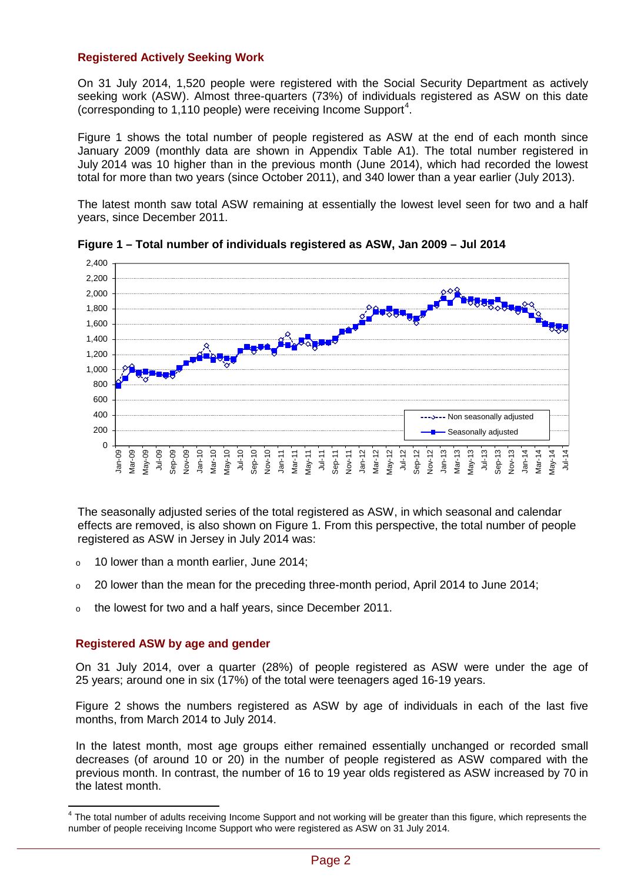## **Registered Actively Seeking Work**

On 31 July 2014, 1,520 people were registered with the Social Security Department as actively seeking work (ASW). Almost three-quarters (73%) of individuals registered as ASW on this date (corresponding to 1,110 people) were receiving Income Support<sup>[4](#page-1-0)</sup>.

Figure 1 shows the total number of people registered as ASW at the end of each month since January 2009 (monthly data are shown in Appendix Table A1). The total number registered in July 2014 was 10 higher than in the previous month (June 2014), which had recorded the lowest total for more than two years (since October 2011), and 340 lower than a year earlier (July 2013).

The latest month saw total ASW remaining at essentially the lowest level seen for two and a half years, since December 2011.



**Figure 1 – Total number of individuals registered as ASW, Jan 2009 – Jul 2014**

The seasonally adjusted series of the total registered as ASW, in which seasonal and calendar effects are removed, is also shown on Figure 1. From this perspective, the total number of people registered as ASW in Jersey in July 2014 was:

- o 10 lower than a month earlier, June 2014;
- $\degree$  20 lower than the mean for the preceding three-month period, April 2014 to June 2014;
- <sup>o</sup> the lowest for two and a half years, since December 2011.

#### **Registered ASW by age and gender**

On 31 July 2014, over a quarter (28%) of people registered as ASW were under the age of 25 years; around one in six (17%) of the total were teenagers aged 16-19 years.

Figure 2 shows the numbers registered as ASW by age of individuals in each of the last five months, from March 2014 to July 2014.

In the latest month, most age groups either remained essentially unchanged or recorded small decreases (of around 10 or 20) in the number of people registered as ASW compared with the previous month. In contrast, the number of 16 to 19 year olds registered as ASW increased by 70 in the latest month.

<span id="page-1-0"></span>The total number of adults receiving Income Support and not working will be greater than this figure, which represents the number of people receiving Income Support who were registered as ASW on 31 July 2014.  $\overline{\phantom{a}}$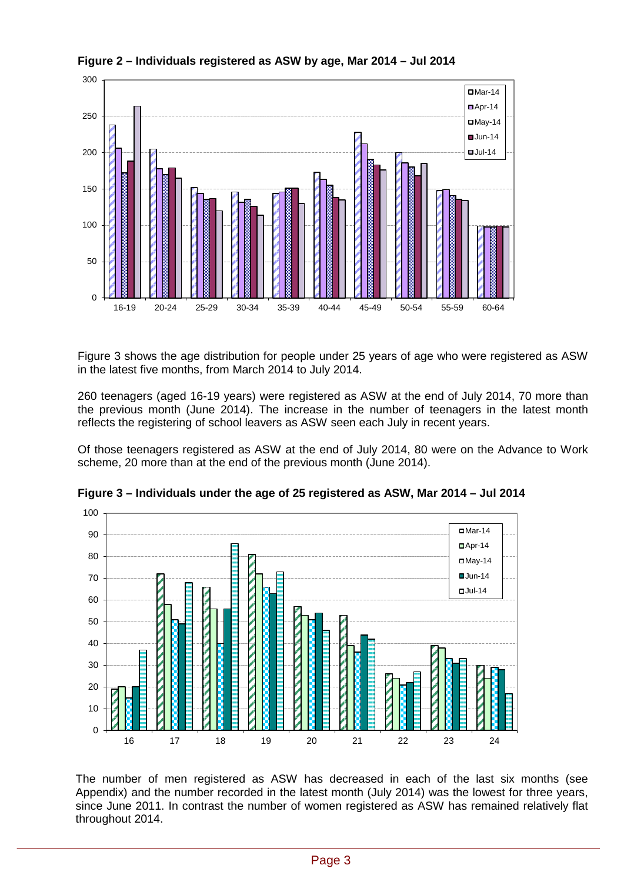

**Figure 2 – Individuals registered as ASW by age, Mar 2014 – Jul 2014**

Figure 3 shows the age distribution for people under 25 years of age who were registered as ASW in the latest five months, from March 2014 to July 2014.

260 teenagers (aged 16-19 years) were registered as ASW at the end of July 2014, 70 more than the previous month (June 2014). The increase in the number of teenagers in the latest month reflects the registering of school leavers as ASW seen each July in recent years.

Of those teenagers registered as ASW at the end of July 2014, 80 were on the Advance to Work scheme, 20 more than at the end of the previous month (June 2014).



**Figure 3 – Individuals under the age of 25 registered as ASW, Mar 2014 – Jul 2014**

The number of men registered as ASW has decreased in each of the last six months (see Appendix) and the number recorded in the latest month (July 2014) was the lowest for three years, since June 2011. In contrast the number of women registered as ASW has remained relatively flat throughout 2014.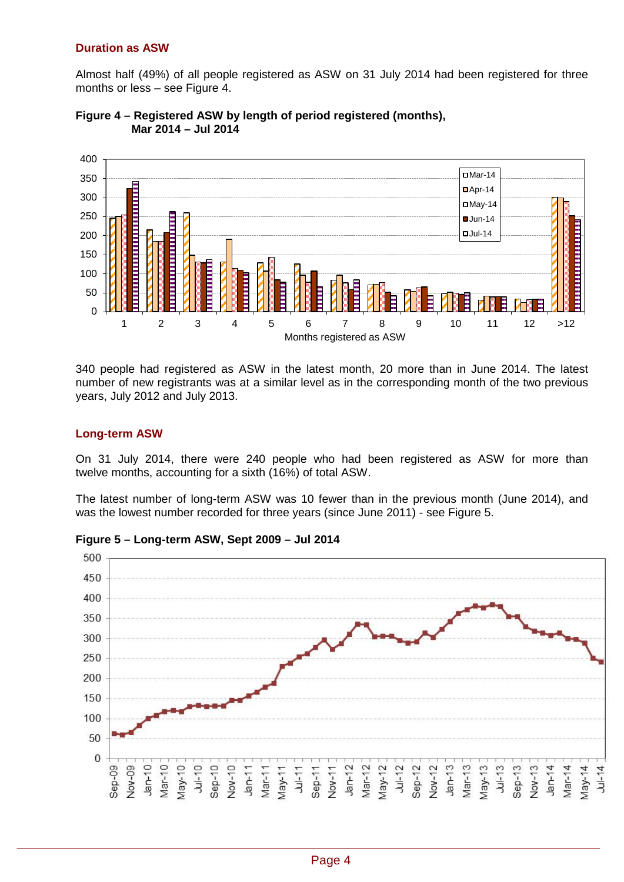### **Duration as ASW**

Almost half (49%) of all people registered as ASW on 31 July 2014 had been registered for three months or less – see Figure 4.





340 people had registered as ASW in the latest month, 20 more than in June 2014. The latest number of new registrants was at a similar level as in the corresponding month of the two previous years, July 2012 and July 2013.

## **Long-term ASW**

On 31 July 2014, there were 240 people who had been registered as ASW for more than twelve months, accounting for a sixth (16%) of total ASW.

The latest number of long-term ASW was 10 fewer than in the previous month (June 2014), and was the lowest number recorded for three years (since June 2011) - see Figure 5.



**Figure 5 – Long-term ASW, Sept 2009 – Jul 2014**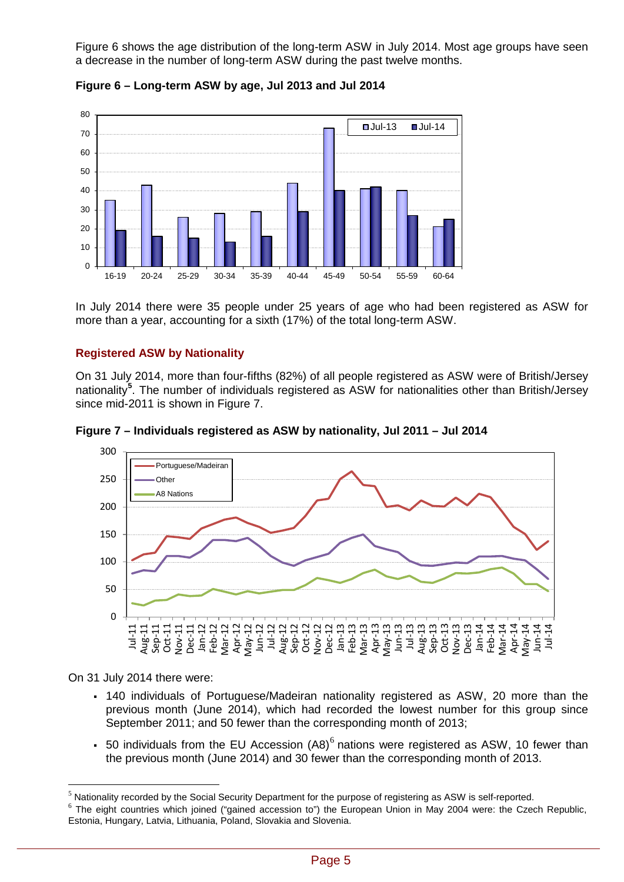Figure 6 shows the age distribution of the long-term ASW in July 2014. Most age groups have seen a decrease in the number of long-term ASW during the past twelve months.



**Figure 6 – Long-term ASW by age, Jul 2013 and Jul 2014**

In July 2014 there were 35 people under 25 years of age who had been registered as ASW for more than a year, accounting for a sixth (17%) of the total long-term ASW.

## **Registered ASW by Nationality**

On 31 July 2014, more than four-fifths (82%) of all people registered as ASW were of British/Jersey nationality**[5](#page-4-0)** . The number of individuals registered as ASW for nationalities other than British/Jersey since mid-2011 is shown in Figure 7.





On 31 July 2014 there were:

 $\overline{a}$ 

- 140 individuals of Portuguese/Madeiran nationality registered as ASW, 20 more than the previous month (June 2014), which had recorded the lowest number for this group since September 2011; and 50 fewer than the corresponding month of 2013;
- 50 individuals from the EU Accession  $(AB)^6$  $(AB)^6$  nations were registered as ASW, 10 fewer than the previous month (June 2014) and 30 fewer than the corresponding month of 2013.

<span id="page-4-0"></span> $<sup>5</sup>$  Nationality recorded by the Social Security Department for the purpose of registering as ASW is self-reported.</sup>

<span id="page-4-1"></span> $6$  The eight countries which joined ("gained accession to") the European Union in May 2004 were: the Czech Republic, Estonia, Hungary, Latvia, Lithuania, Poland, Slovakia and Slovenia.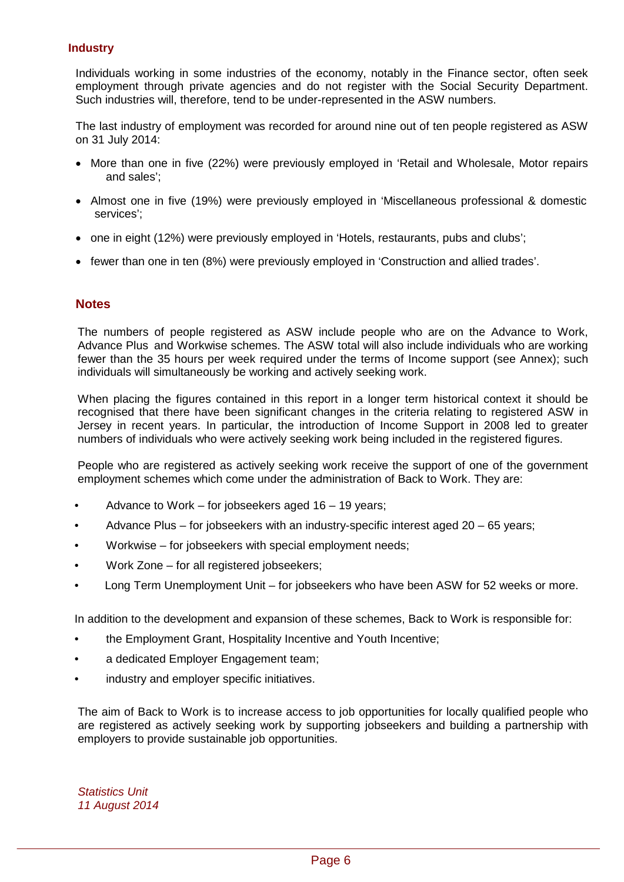### **Industry**

Individuals working in some industries of the economy, notably in the Finance sector, often seek employment through private agencies and do not register with the Social Security Department. Such industries will, therefore, tend to be under-represented in the ASW numbers.

The last industry of employment was recorded for around nine out of ten people registered as ASW on 31 July 2014:

- More than one in five (22%) were previously employed in 'Retail and Wholesale, Motor repairs and sales';
- Almost one in five (19%) were previously employed in 'Miscellaneous professional & domestic services';
- one in eight (12%) were previously employed in 'Hotels, restaurants, pubs and clubs';
- fewer than one in ten (8%) were previously employed in 'Construction and allied trades'.

## **Notes**

The numbers of people registered as ASW include people who are on the Advance to Work, Advance Plus and Workwise schemes. The ASW total will also include individuals who are working fewer than the 35 hours per week required under the terms of Income support (see Annex); such individuals will simultaneously be working and actively seeking work.

When placing the figures contained in this report in a longer term historical context it should be recognised that there have been significant changes in the criteria relating to registered ASW in Jersey in recent years. In particular, the introduction of Income Support in 2008 led to greater numbers of individuals who were actively seeking work being included in the registered figures.

People who are registered as actively seeking work receive the support of one of the government employment schemes which come under the administration of Back to Work. They are:

- Advance to Work for jobseekers aged  $16 19$  years;
- Advance Plus for jobseekers with an industry-specific interest aged 20 65 years;
- Workwise for jobseekers with special employment needs;
- Work Zone for all registered jobseekers;
- Long Term Unemployment Unit for jobseekers who have been ASW for 52 weeks or more.

In addition to the development and expansion of these schemes, Back to Work is responsible for:

- the Employment Grant, Hospitality Incentive and Youth Incentive;
- a dedicated Employer Engagement team;
- industry and employer specific initiatives.

The aim of Back to Work is to increase access to job opportunities for locally qualified people who are registered as actively seeking work by supporting jobseekers and building a partnership with employers to provide sustainable job opportunities.

*Statistics Unit 11 August 2014*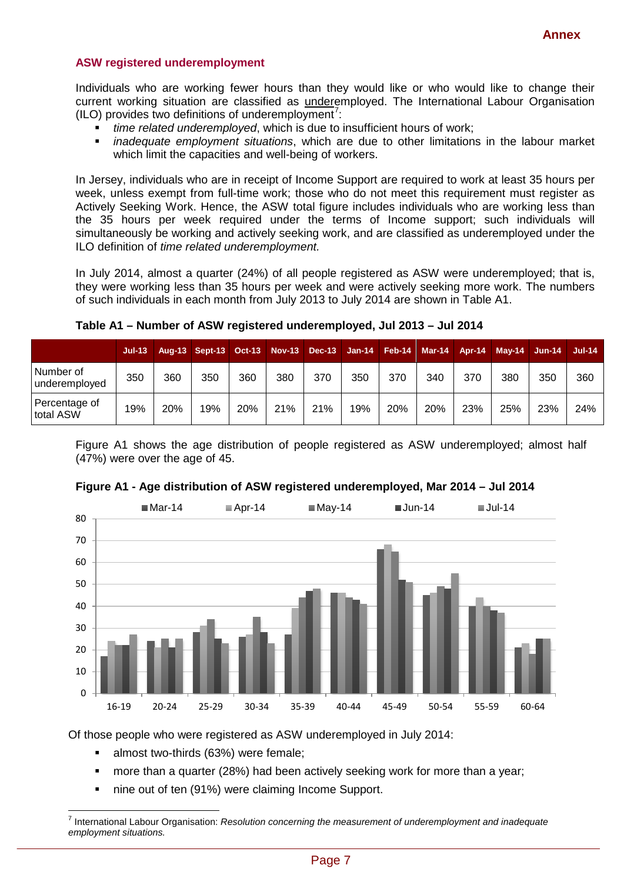#### **ASW registered underemployment**

Individuals who are working fewer hours than they would like or who would like to change their current working situation are classified as underemployed. The International Labour Organisation  $(ILO)$  provides two definitions of underemployment<sup>[7](#page-6-0)</sup>:

- *time related underemployed*, which is due to insufficient hours of work;
- *inadequate employment situations*, which are due to other limitations in the labour market which limit the capacities and well-being of workers.

In Jersey, individuals who are in receipt of Income Support are required to work at least 35 hours per week, unless exempt from full-time work; those who do not meet this requirement must register as Actively Seeking Work. Hence, the ASW total figure includes individuals who are working less than the 35 hours per week required under the terms of Income support; such individuals will simultaneously be working and actively seeking work, and are classified as underemployed under the ILO definition of *time related underemployment.*

In July 2014, almost a quarter (24%) of all people registered as ASW were underemployed; that is, they were working less than 35 hours per week and were actively seeking more work. The numbers of such individuals in each month from July 2013 to July 2014 are shown in Table A1.

|                            | $Jul-13$ |     | Aug-13 Sept-13 Oct-13 |     |     | Nov-13 Dec-13 Jan-14 Feb-14 Mar-14 |     |     |     | Apr-14 | <b>May-14 Jun-14</b> |     | $Jul-14$ |
|----------------------------|----------|-----|-----------------------|-----|-----|------------------------------------|-----|-----|-----|--------|----------------------|-----|----------|
| Number of<br>underemployed | 350      | 360 | 350                   | 360 | 380 | 370                                | 350 | 370 | 340 | 370    | 380                  | 350 | 360      |
| Percentage of<br>total ASW | 19%      | 20% | 19%                   | 20% | 21% | 21%                                | 19% | 20% | 20% | 23%    | 25%                  | 23% | 24%      |

**Table A1 – Number of ASW registered underemployed, Jul 2013 – Jul 2014**

Figure A1 shows the age distribution of people registered as ASW underemployed; almost half (47%) were over the age of 45.



#### **Figure A1 - Age distribution of ASW registered underemployed, Mar 2014 – Jul 2014**

Of those people who were registered as ASW underemployed in July 2014:

- almost two-thirds (63%) were female;
- **•** more than a quarter (28%) had been actively seeking work for more than a year;
- nine out of ten (91%) were claiming Income Support.

<span id="page-6-0"></span><sup>7</sup> International Labour Organisation: *Resolution concerning the measurement of underemployment and inadequate employment situations.*  $\overline{a}$